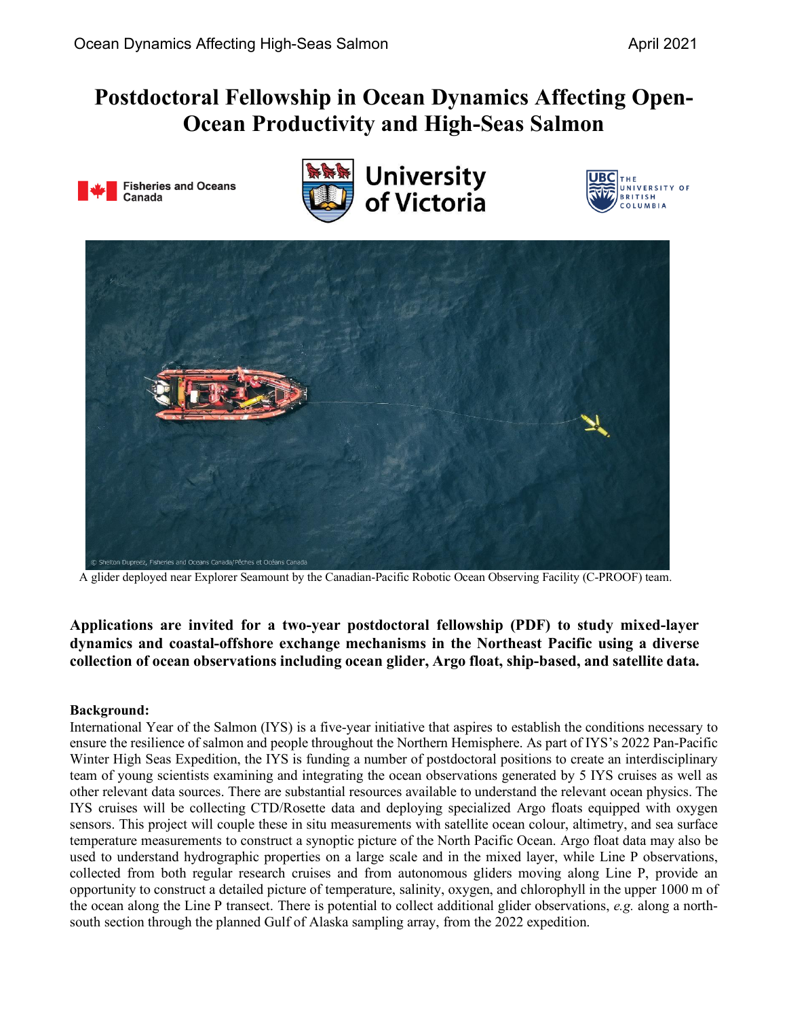## **Postdoctoral Fellowship in Ocean Dynamics Affecting Open-Ocean Productivity and High-Seas Salmon**









A glider deployed near Explorer Seamount by the Canadian-Pacific Robotic Ocean Observing Facility (C-PROOF) team.

**Applications are invited for a two-year postdoctoral fellowship (PDF) to study mixed-layer dynamics and coastal-offshore exchange mechanisms in the Northeast Pacific using a diverse collection of ocean observations including ocean glider, Argo float, ship-based, and satellite data.**

## **Background:**

International Year of the Salmon (IYS) is a five-year initiative that aspires to establish the conditions necessary to ensure the resilience of salmon and people throughout the Northern Hemisphere. As part of IYS's 2022 Pan-Pacific Winter High Seas Expedition, the IYS is funding a number of postdoctoral positions to create an interdisciplinary team of young scientists examining and integrating the ocean observations generated by 5 IYS cruises as well as other relevant data sources. There are substantial resources available to understand the relevant ocean physics. The IYS cruises will be collecting CTD/Rosette data and deploying specialized Argo floats equipped with oxygen sensors. This project will couple these in situ measurements with satellite ocean colour, altimetry, and sea surface temperature measurements to construct a synoptic picture of the North Pacific Ocean. Argo float data may also be used to understand hydrographic properties on a large scale and in the mixed layer, while Line P observations, collected from both regular research cruises and from autonomous gliders moving along Line P, provide an opportunity to construct a detailed picture of temperature, salinity, oxygen, and chlorophyll in the upper 1000 m of the ocean along the Line P transect. There is potential to collect additional glider observations, *e.g.* along a northsouth section through the planned Gulf of Alaska sampling array, from the 2022 expedition.